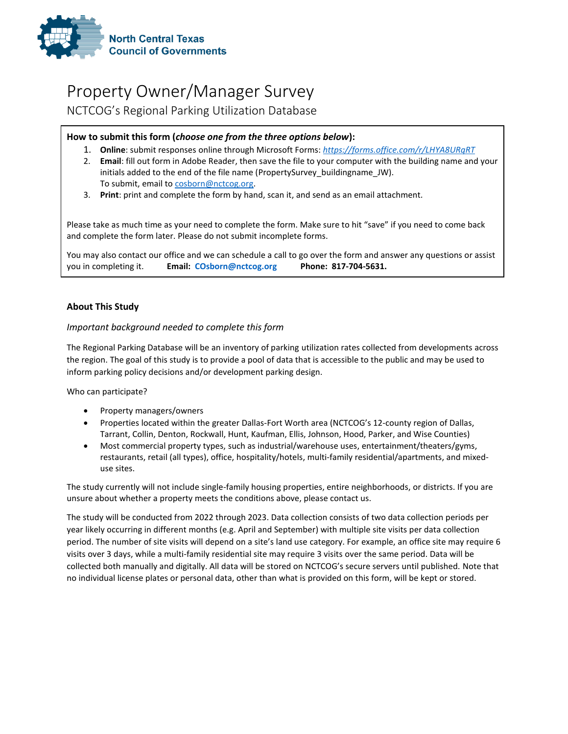

# Property Owner/Manager Survey

NCTCOG's Regional Parking Utilization Database

## **How to submit this form (***choose one from the three options below***):**

- 1. **Online**: submit responses online through Microsoft Forms: *https://forms.office.com/r/LHYA8URqRT*
- 2. **Email**: fill out form in Adobe Reader, then save the file to your computer with the building name and your initials added to the end of the file name (PropertySurvey buildingname JW). To submit, email to cosborn@nctcog.org.
- 3. **Print**: print and complete the form by hand, scan it, and send as an email attachment.

Please take as much time as your need to complete the form. Make sure to hit "save" if you need to come back and complete the form later. Please do not submit incomplete forms.

You may also contact our office and we can schedule a call to go over the form and answer any questions or assist you in completing it. **Email: COsborn@nctcog.org Phone: 817-704-5631.**

## **About This Study**

## *Important background needed to complete this form*

The Regional Parking Database will be an inventory of parking utilization rates collected from developments across the region. The goal of this study is to provide a pool of data that is accessible to the public and may be used to inform parking policy decisions and/or development parking design.

Who can participate?

- Property managers/owners
- Properties located within the greater Dallas-Fort Worth area (NCTCOG's 12-county region of Dallas, Tarrant, Collin, Denton, Rockwall, Hunt, Kaufman, Ellis, Johnson, Hood, Parker, and Wise Counties)
- Most commercial property types, such as industrial/warehouse uses, entertainment/theaters/gyms, restaurants, retail (all types), office, hospitality/hotels, multi-family residential/apartments, and mixeduse sites.

The study currently will not include single-family housing properties, entire neighborhoods, or districts. If you are unsure about whether a property meets the conditions above, please contact us.

The study will be conducted from 2022 through 2023. Data collection consists of two data collection periods per year likely occurring in different months (e.g. April and September) with multiple site visits per data collection period. The number of site visits will depend on a site's land use category. For example, an office site may require 6 visits over 3 days, while a multi-family residential site may require 3 visits over the same period. Data will be collected both manually and digitally. All data will be stored on NCTCOG's secure servers until published. Note that no individual license plates or personal data, other than what is provided on this form, will be kept or stored.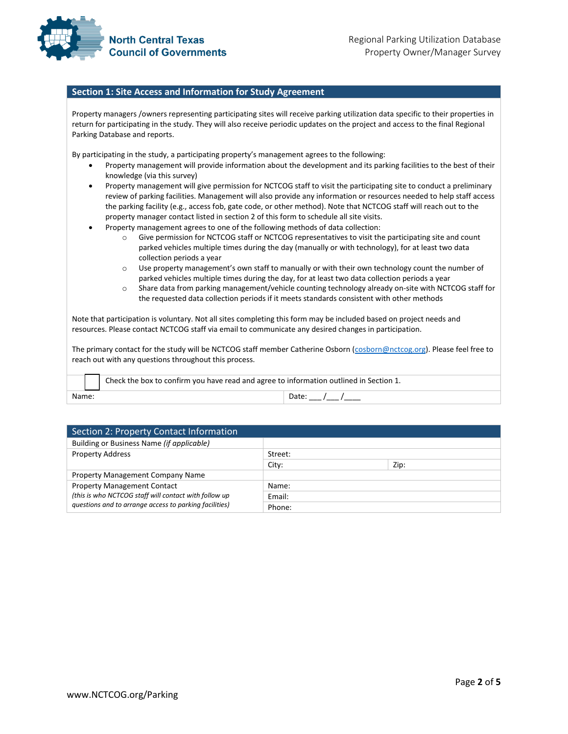

#### **Section 1: Site Access and Information for Study Agreement**

Property managers /owners representing participating sites will receive parking utilization data specific to their properties in return for participating in the study. They will also receive periodic updates on the project and access to the final Regional Parking Database and reports.

By participating in the study, a participating property's management agrees to the following:

- Property management will provide information about the development and its parking facilities to the best of their knowledge (via this survey)
- Property management will give permission for NCTCOG staff to visit the participating site to conduct a preliminary review of parking facilities. Management will also provide any information or resources needed to help staff access the parking facility (e.g., access fob, gate code, or other method). Note that NCTCOG staff will reach out to the property manager contact listed in section 2 of this form to schedule all site visits.
- Property management agrees to one of the following methods of data collection:
	- o Give permission for NCTCOG staff or NCTCOG representatives to visit the participating site and count parked vehicles multiple times during the day (manually or with technology), for at least two data collection periods a year
	- o Use property management's own staff to manually or with their own technology count the number of parked vehicles multiple times during the day, for at least two data collection periods a year
	- o Share data from parking management/vehicle counting technology already on-site with NCTCOG staff for the requested data collection periods if it meets standards consistent with other methods

Note that participation is voluntary. Not all sites completing this form may be included based on project needs and resources. Please contact NCTCOG staff via email to communicate any desired changes in participation.

The primary contact for the study will be NCTCOG staff member Catherine Osborn (cosborn@nctcog.org). Please feel free to reach out with any questions throughout this process.

Check the box to confirm you have read and agree to information outlined in Section 1. Name: Date: \_\_\_ /\_\_\_ /\_\_\_\_

| Section 2: Property Contact Information                |         |      |  |
|--------------------------------------------------------|---------|------|--|
| Building or Business Name (if applicable)              |         |      |  |
| <b>Property Address</b>                                | Street: |      |  |
|                                                        | City:   | Zip: |  |
| Property Management Company Name                       |         |      |  |
| <b>Property Management Contact</b>                     | Name:   |      |  |
| (this is who NCTCOG staff will contact with follow up  | Email:  |      |  |
| questions and to arrange access to parking facilities) | Phone:  |      |  |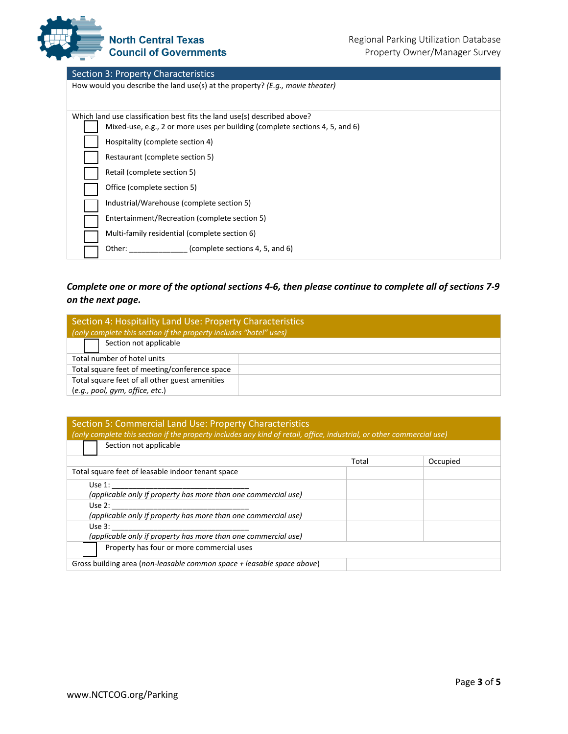

## Section 3: Property Characteristics

| How would you describe the land use(s) at the property? ( <i>E.g., movie theater</i> )                                                                   |
|----------------------------------------------------------------------------------------------------------------------------------------------------------|
| Which land use classification best fits the land use(s) described above?<br>Mixed-use, e.g., 2 or more uses per building (complete sections 4, 5, and 6) |
| Hospitality (complete section 4)                                                                                                                         |
| Restaurant (complete section 5)                                                                                                                          |
| Retail (complete section 5)                                                                                                                              |
| Office (complete section 5)                                                                                                                              |
| Industrial/Warehouse (complete section 5)                                                                                                                |
| Entertainment/Recreation (complete section 5)                                                                                                            |
| Multi-family residential (complete section 6)                                                                                                            |
| (complete sections 4, 5, and 6)<br>Other:                                                                                                                |

## *Complete one or more of the optional sections 4-6, then please continue to complete all of sections 7-9 on the next page.*

| Section 4: Hospitality Land Use: Property Characteristics          |  |
|--------------------------------------------------------------------|--|
| (only complete this section if the property includes "hotel" uses) |  |
| Section not applicable                                             |  |
| Total number of hotel units                                        |  |
| Total square feet of meeting/conference space                      |  |
| Total square feet of all other guest amenities                     |  |
| (e.g., pool, qym, office, etc.)                                    |  |

#### Section 5: Commercial Land Use: Property Characteristics *(only complete this section if the property includes any kind of retail, office, industrial, or other commercial use)*

| Section not applicable                                                 |       |          |
|------------------------------------------------------------------------|-------|----------|
|                                                                        | Total | Occupied |
| Total square feet of leasable indoor tenant space                      |       |          |
| Use $1$ :                                                              |       |          |
| (applicable only if property has more than one commercial use)         |       |          |
| Use $2:$                                                               |       |          |
| (applicable only if property has more than one commercial use)         |       |          |
| Use $3:$                                                               |       |          |
| (applicable only if property has more than one commercial use)         |       |          |
| Property has four or more commercial uses                              |       |          |
| Gross building area (non-leasable common space + leasable space above) |       |          |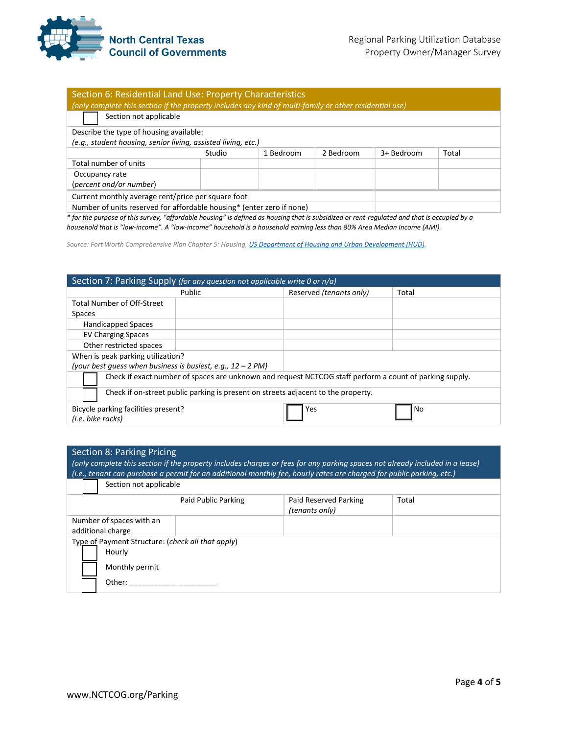

| Section 6: Residential Land Use: Property Characteristics                                               |        |           |           |            |       |
|---------------------------------------------------------------------------------------------------------|--------|-----------|-----------|------------|-------|
| (only complete this section if the property includes any kind of multi-family or other residential use) |        |           |           |            |       |
| Section not applicable                                                                                  |        |           |           |            |       |
| Describe the type of housing available:                                                                 |        |           |           |            |       |
| (e.g., student housing, senior living, assisted living, etc.)                                           |        |           |           |            |       |
|                                                                                                         | Studio | 1 Bedroom | 2 Bedroom | 3+ Bedroom | Total |
| Total number of units                                                                                   |        |           |           |            |       |
| Occupancy rate                                                                                          |        |           |           |            |       |
| (percent and/or number)                                                                                 |        |           |           |            |       |
| Current monthly average rent/price per square foot                                                      |        |           |           |            |       |
| Number of units reserved for affordable housing* (enter zero if none)                                   |        |           |           |            |       |

*\* for the purpose of this survey, "affordable housing" is defined as housing that is subsidized or rent-regulated and that is occupied by a household that is "low-income". A "low-income" household is a household earning less than 80% Area Median Income (AMI).* 

*Source: Fort Worth Comprehensive Plan Chapter 5: Housing, US Department of Housing and Urban Development (HUD).*

| Section 7: Parking Supply (for any question not applicable write 0 or n/a)                              |                         |       |
|---------------------------------------------------------------------------------------------------------|-------------------------|-------|
| Public                                                                                                  | Reserved (tenants only) | Total |
| <b>Total Number of Off-Street</b>                                                                       |                         |       |
| <b>Spaces</b>                                                                                           |                         |       |
| <b>Handicapped Spaces</b>                                                                               |                         |       |
| <b>EV Charging Spaces</b>                                                                               |                         |       |
| Other restricted spaces                                                                                 |                         |       |
| When is peak parking utilization?                                                                       |                         |       |
| (your best quess when business is busiest, e.g., $12 - 2 PM$ )                                          |                         |       |
| Check if exact number of spaces are unknown and request NCTCOG staff perform a count of parking supply. |                         |       |
| Check if on-street public parking is present on streets adjacent to the property.                       |                         |       |
| Bicycle parking facilities present?                                                                     | Yes                     | No    |
| (i.e. bike racks)                                                                                       |                         |       |

| <b>Section 8: Parking Pricing</b>                           |                     | (only complete this section if the property includes charges or fees for any parking spaces not already included in a lease) |       |
|-------------------------------------------------------------|---------------------|------------------------------------------------------------------------------------------------------------------------------|-------|
|                                                             |                     | (i.e., tenant can purchase a permit for an additional monthly fee, hourly rates are charged for public parking, etc.)        |       |
| Section not applicable                                      |                     |                                                                                                                              |       |
|                                                             | Paid Public Parking | Paid Reserved Parking<br>(tenants only)                                                                                      | Total |
| Number of spaces with an<br>additional charge               |                     |                                                                                                                              |       |
| Type of Payment Structure: (check all that apply)<br>Hourly |                     |                                                                                                                              |       |
| Monthly permit                                              |                     |                                                                                                                              |       |
| Other:                                                      |                     |                                                                                                                              |       |